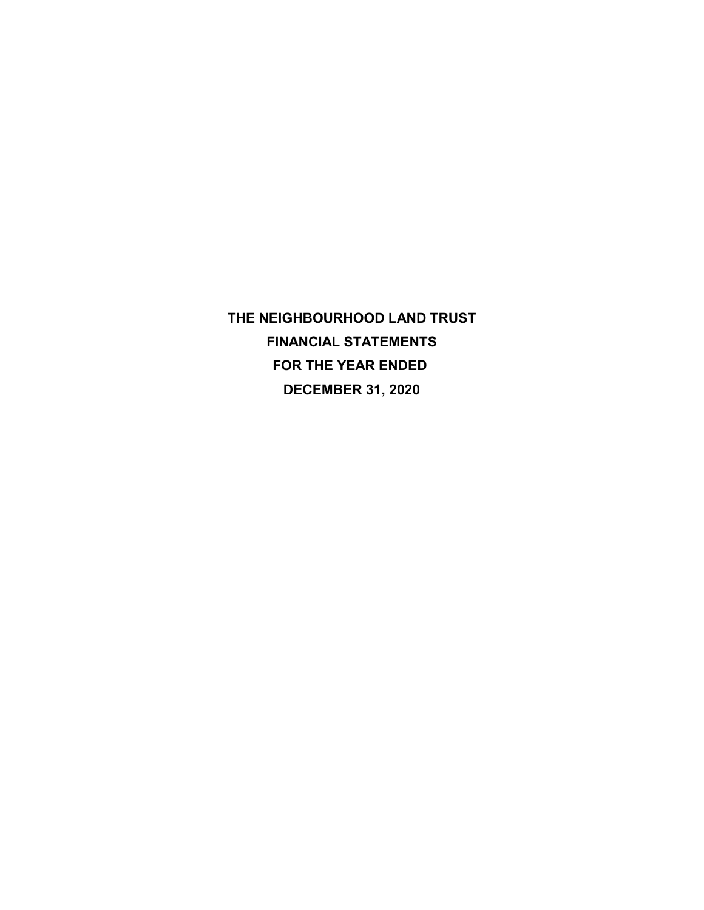**THE NEIGHBOURHOOD LAND TRUST FINANCIAL STATEMENTS FOR THE YEAR ENDED DECEMBER 31, 2020**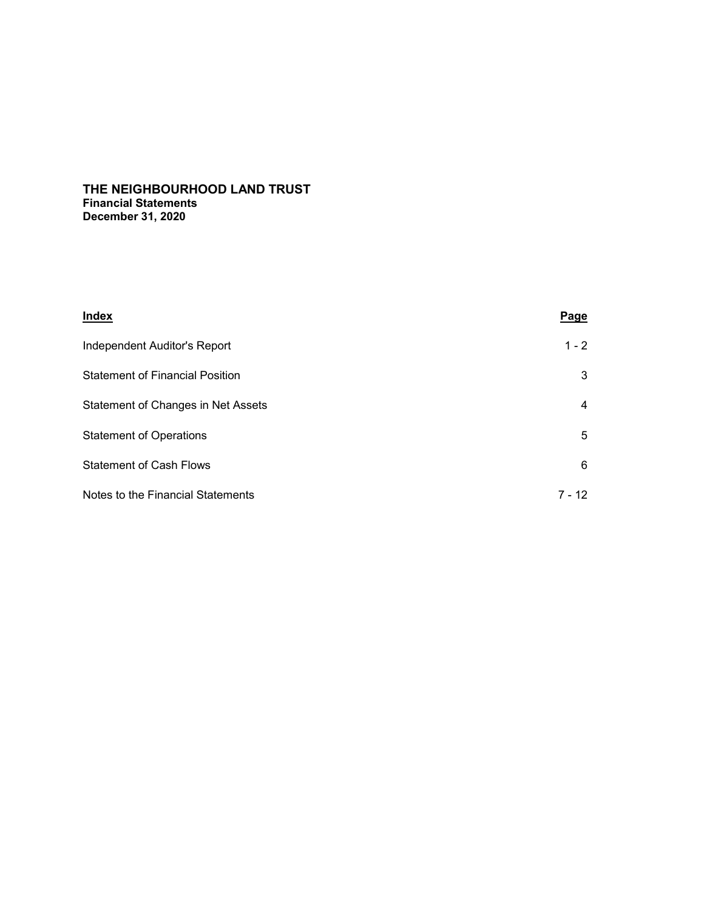## **THE NEIGHBOURHOOD LAND TRUST Financial Statements December 31, 2020**

| Index                                  | <b>Page</b> |
|----------------------------------------|-------------|
| Independent Auditor's Report           | $1 - 2$     |
| <b>Statement of Financial Position</b> | 3           |
| Statement of Changes in Net Assets     | 4           |
| <b>Statement of Operations</b>         | 5           |
| <b>Statement of Cash Flows</b>         | 6           |
| Notes to the Financial Statements      | 7 - 12      |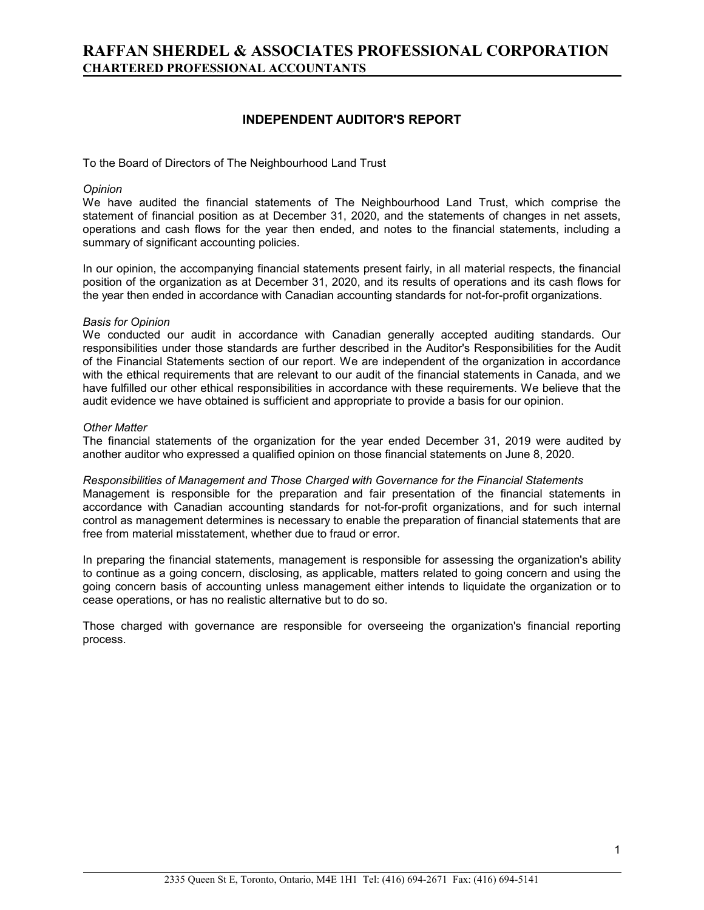## **RAFFAN SHERDEL & ASSOCIATES PROFESSIONAL CORPORATION CHARTERED PROFESSIONAL ACCOUNTANTS**

## **INDEPENDENT AUDITOR'S REPORT**

To the Board of Directors of The Neighbourhood Land Trust

#### *Opinion*

We have audited the financial statements of The Neighbourhood Land Trust, which comprise the statement of financial position as at December 31, 2020, and the statements of changes in net assets, operations and cash flows for the year then ended, and notes to the financial statements, including a summary of significant accounting policies.

In our opinion, the accompanying financial statements present fairly, in all material respects, the financial position of the organization as at December 31, 2020, and its results of operations and its cash flows for the year then ended in accordance with Canadian accounting standards for not-for-profit organizations.

#### *Basis for Opinion*

We conducted our audit in accordance with Canadian generally accepted auditing standards. Our responsibilities under those standards are further described in the Auditor's Responsibilities for the Audit of the Financial Statements section of our report. We are independent of the organization in accordance with the ethical requirements that are relevant to our audit of the financial statements in Canada, and we have fulfilled our other ethical responsibilities in accordance with these requirements. We believe that the audit evidence we have obtained is sufficient and appropriate to provide a basis for our opinion.

#### *Other Matter*

The financial statements of the organization for the year ended December 31, 2019 were audited by another auditor who expressed a qualified opinion on those financial statements on June 8, 2020.

### *Responsibilities of Management and Those Charged with Governance for the Financial Statements*

Management is responsible for the preparation and fair presentation of the financial statements in accordance with Canadian accounting standards for not-for-profit organizations, and for such internal control as management determines is necessary to enable the preparation of financial statements that are free from material misstatement, whether due to fraud or error.

In preparing the financial statements, management is responsible for assessing the organization's ability to continue as a going concern, disclosing, as applicable, matters related to going concern and using the going concern basis of accounting unless management either intends to liquidate the organization or to cease operations, or has no realistic alternative but to do so.

Those charged with governance are responsible for overseeing the organization's financial reporting process.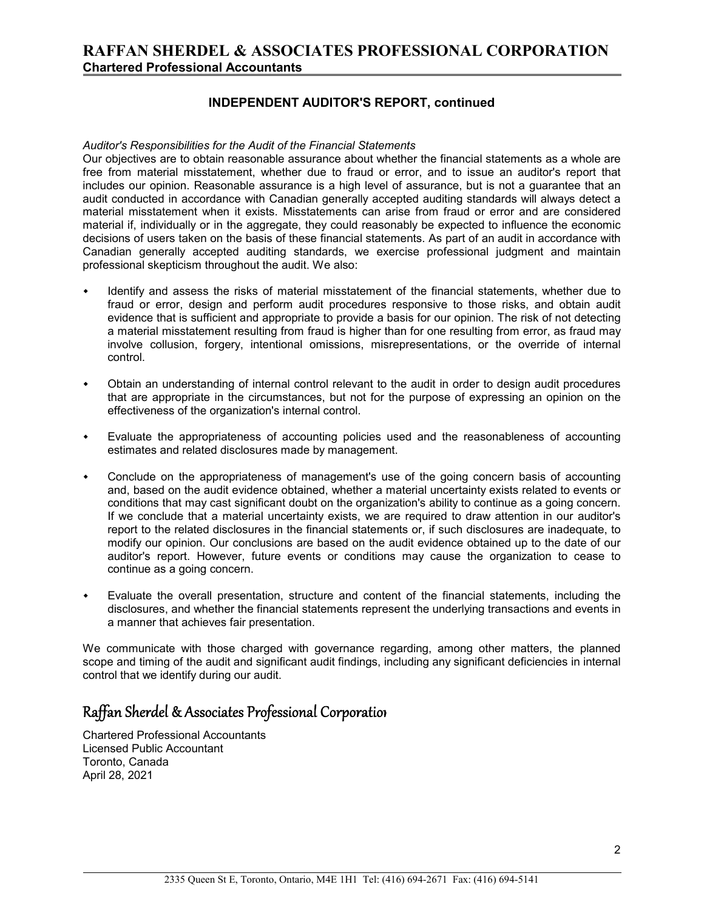## **RAFFAN SHERDEL & ASSOCIATES PROFESSIONAL CORPORATION Chartered Professional Accountants**

## **INDEPENDENT AUDITOR'S REPORT, continued**

#### *Auditor's Responsibilities for the Audit of the Financial Statements*

Our objectives are to obtain reasonable assurance about whether the financial statements as a whole are free from material misstatement, whether due to fraud or error, and to issue an auditor's report that includes our opinion. Reasonable assurance is a high level of assurance, but is not a guarantee that an audit conducted in accordance with Canadian generally accepted auditing standards will always detect a material misstatement when it exists. Misstatements can arise from fraud or error and are considered material if, individually or in the aggregate, they could reasonably be expected to influence the economic decisions of users taken on the basis of these financial statements. As part of an audit in accordance with Canadian generally accepted auditing standards, we exercise professional judgment and maintain professional skepticism throughout the audit. We also:

- Identify and assess the risks of material misstatement of the financial statements, whether due to fraud or error, design and perform audit procedures responsive to those risks, and obtain audit evidence that is sufficient and appropriate to provide a basis for our opinion. The risk of not detecting a material misstatement resulting from fraud is higher than for one resulting from error, as fraud may involve collusion, forgery, intentional omissions, misrepresentations, or the override of internal control.
- Obtain an understanding of internal control relevant to the audit in order to design audit procedures that are appropriate in the circumstances, but not for the purpose of expressing an opinion on the effectiveness of the organization's internal control.
- Evaluate the appropriateness of accounting policies used and the reasonableness of accounting estimates and related disclosures made by management.
- Conclude on the appropriateness of management's use of the going concern basis of accounting and, based on the audit evidence obtained, whether a material uncertainty exists related to events or conditions that may cast significant doubt on the organization's ability to continue as a going concern. If we conclude that a material uncertainty exists, we are required to draw attention in our auditor's report to the related disclosures in the financial statements or, if such disclosures are inadequate, to modify our opinion. Our conclusions are based on the audit evidence obtained up to the date of our auditor's report. However, future events or conditions may cause the organization to cease to continue as a going concern.
- Evaluate the overall presentation, structure and content of the financial statements, including the disclosures, and whether the financial statements represent the underlying transactions and events in a manner that achieves fair presentation.

We communicate with those charged with governance regarding, among other matters, the planned scope and timing of the audit and significant audit findings, including any significant deficiencies in internal control that we identify during our audit.

## Raffan Sherdel & Associates Professional Corporation

Chartered Professional Accountants Licensed Public Accountant Toronto, Canada April 28, 2021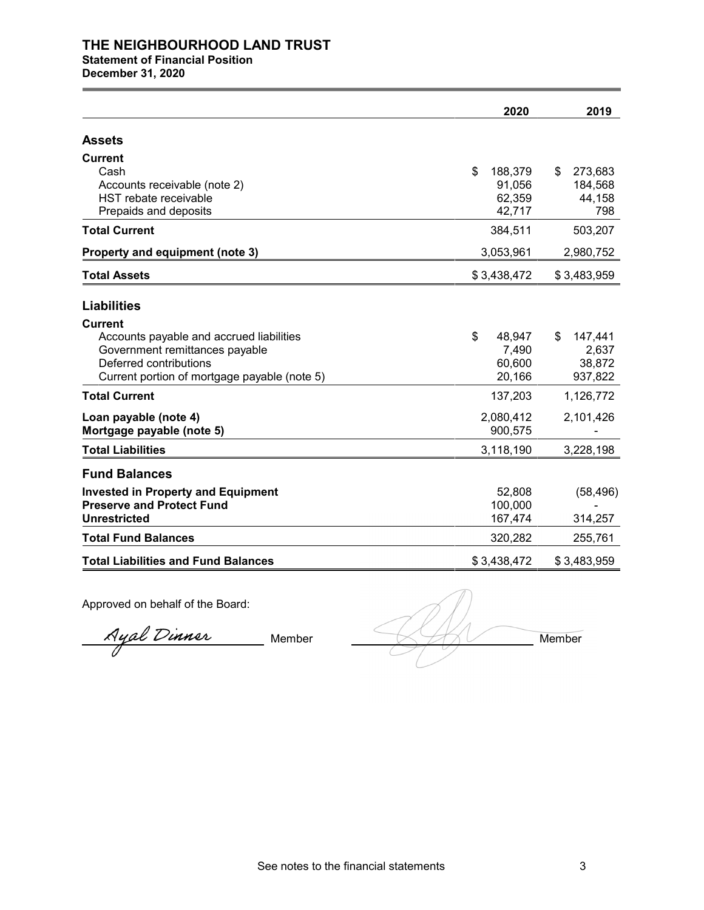**Statement of Financial Position**

**December 31, 2020**

|                                              | 2020          | 2019          |
|----------------------------------------------|---------------|---------------|
| <b>Assets</b>                                |               |               |
| <b>Current</b>                               |               |               |
| Cash                                         | \$<br>188,379 | \$<br>273,683 |
| Accounts receivable (note 2)                 | 91,056        | 184,568       |
| <b>HST</b> rebate receivable                 | 62,359        | 44,158        |
| Prepaids and deposits                        | 42,717        | 798           |
| <b>Total Current</b>                         | 384,511       | 503,207       |
| Property and equipment (note 3)              | 3,053,961     | 2,980,752     |
| <b>Total Assets</b>                          | \$3,438,472   | \$3,483,959   |
| <b>Liabilities</b>                           |               |               |
| <b>Current</b>                               |               |               |
| Accounts payable and accrued liabilities     | \$<br>48,947  | \$<br>147,441 |
| Government remittances payable               | 7,490         | 2,637         |
| Deferred contributions                       | 60,600        | 38,872        |
| Current portion of mortgage payable (note 5) | 20,166        | 937,822       |
| <b>Total Current</b>                         | 137,203       | 1,126,772     |
| Loan payable (note 4)                        | 2,080,412     | 2,101,426     |
| Mortgage payable (note 5)                    | 900,575       |               |
| <b>Total Liabilities</b>                     | 3,118,190     | 3,228,198     |
| <b>Fund Balances</b>                         |               |               |
| <b>Invested in Property and Equipment</b>    | 52,808        | (58, 496)     |
| <b>Preserve and Protect Fund</b>             | 100,000       |               |
| <b>Unrestricted</b>                          | 167,474       | 314,257       |
| <b>Total Fund Balances</b>                   | 320,282       | 255,761       |
| <b>Total Liabilities and Fund Balances</b>   | \$3,438,472   | \$3,483,959   |

Approved on behalf of the Board:

Ayal Dinner

Member Member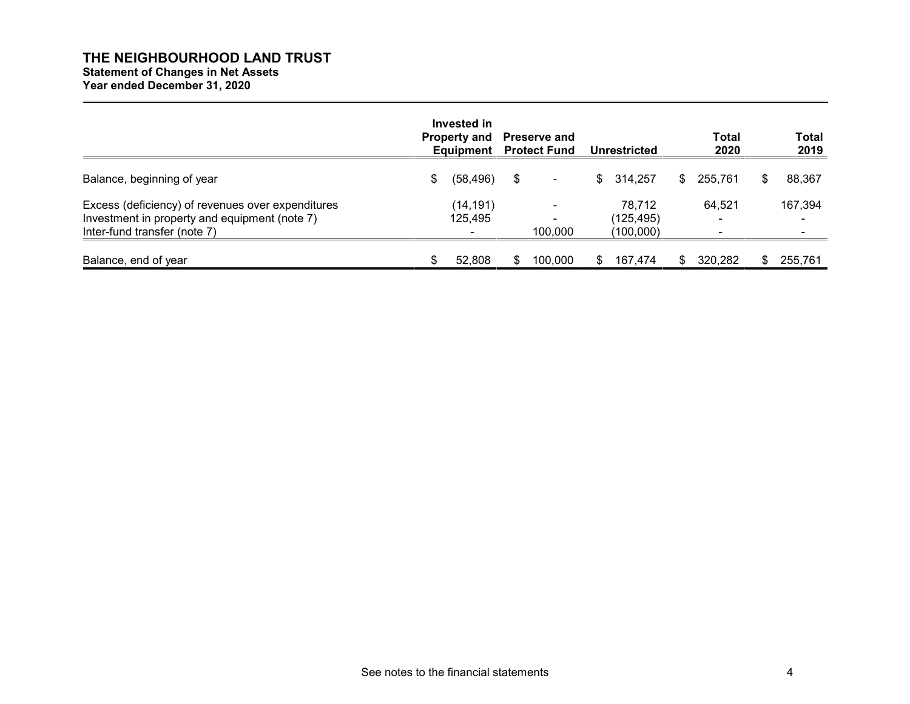#### **Statement of Changes in Net Assets Year ended December 31, 2020**

|                                                                                                                                    | Invested in<br><b>Property and</b><br><b>Equipment</b> Protect Fund |    | <b>Preserve and</b> |     | <b>Unrestricted</b>              |     | <b>Total</b><br>2020 |     | Total<br>2019 |
|------------------------------------------------------------------------------------------------------------------------------------|---------------------------------------------------------------------|----|---------------------|-----|----------------------------------|-----|----------------------|-----|---------------|
| Balance, beginning of year                                                                                                         | \$<br>(58, 496)                                                     | S. | $\sim$              |     | \$314.257                        | \$  | 255.761              | S   | 88,367        |
| Excess (deficiency) of revenues over expenditures<br>Investment in property and equipment (note 7)<br>Inter-fund transfer (note 7) | (14, 191)<br>125,495<br>$\overline{\phantom{0}}$                    |    | ۰.<br>-<br>100,000  |     | 78.712<br>(125,495)<br>(100,000) |     | 64.521               |     | 167,394       |
| Balance, end of year                                                                                                               | 52,808                                                              |    | 100,000             | \$. | 167,474                          | \$. | 320,282              | \$. | 255,761       |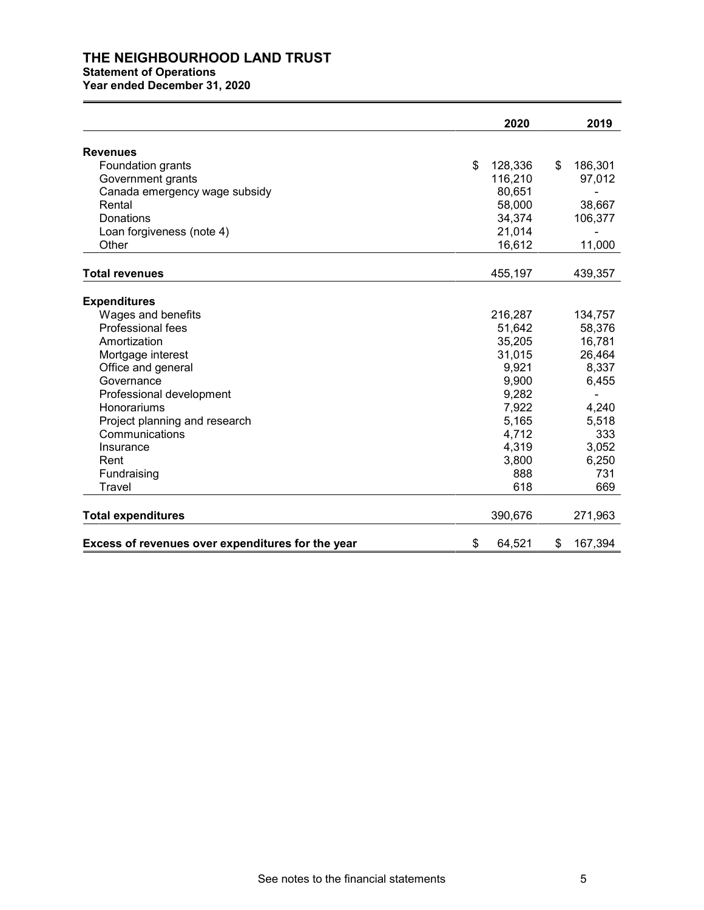#### **Statement of Operations**

**Year ended December 31, 2020**

|                                                   | 2020          | 2019          |
|---------------------------------------------------|---------------|---------------|
| <b>Revenues</b>                                   |               |               |
| Foundation grants                                 | \$<br>128,336 | \$<br>186,301 |
| Government grants                                 | 116,210       | 97,012        |
| Canada emergency wage subsidy                     | 80,651        |               |
| Rental                                            | 58,000        | 38,667        |
| Donations                                         | 34,374        | 106,377       |
| Loan forgiveness (note 4)                         | 21,014        |               |
| Other                                             | 16,612        | 11,000        |
| <b>Total revenues</b>                             | 455,197       | 439,357       |
|                                                   |               |               |
| <b>Expenditures</b>                               |               |               |
| Wages and benefits                                | 216,287       | 134,757       |
| <b>Professional fees</b>                          | 51,642        | 58,376        |
| Amortization                                      | 35,205        | 16,781        |
| Mortgage interest                                 | 31,015        | 26,464        |
| Office and general                                | 9,921         | 8,337         |
| Governance                                        | 9,900         | 6,455         |
| Professional development                          | 9,282         |               |
| Honorariums                                       | 7,922         | 4,240         |
| Project planning and research                     | 5,165         | 5,518         |
| Communications                                    | 4,712         | 333           |
| Insurance                                         | 4,319         | 3,052         |
| Rent                                              | 3,800         | 6,250         |
| Fundraising                                       | 888           | 731           |
| Travel                                            | 618           | 669           |
| <b>Total expenditures</b>                         | 390,676       | 271,963       |
| Excess of revenues over expenditures for the year | \$<br>64,521  | \$<br>167,394 |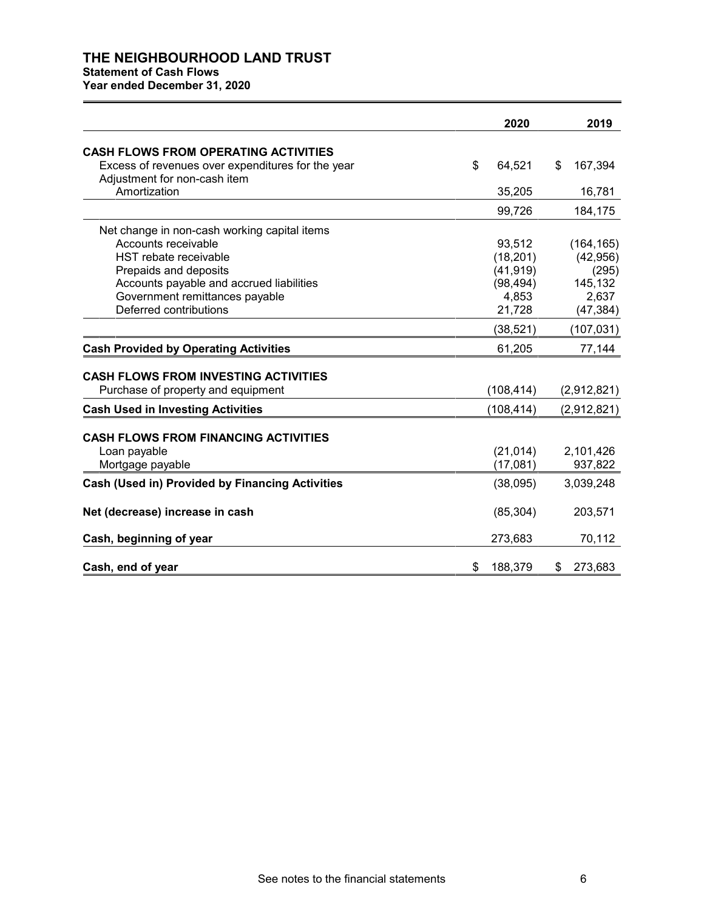**Statement of Cash Flows**

**Year ended December 31, 2020**

|                                                        | 2020          | 2019          |
|--------------------------------------------------------|---------------|---------------|
| <b>CASH FLOWS FROM OPERATING ACTIVITIES</b>            |               |               |
| Excess of revenues over expenditures for the year      | \$<br>64,521  | \$<br>167,394 |
| Adjustment for non-cash item<br>Amortization           | 35,205        | 16,781        |
|                                                        | 99,726        | 184,175       |
| Net change in non-cash working capital items           |               |               |
| Accounts receivable                                    | 93,512        | (164, 165)    |
| HST rebate receivable                                  | (18, 201)     | (42, 956)     |
| Prepaids and deposits                                  | (41, 919)     | (295)         |
| Accounts payable and accrued liabilities               | (98, 494)     | 145,132       |
| Government remittances payable                         | 4,853         | 2,637         |
| Deferred contributions                                 | 21,728        | (47, 384)     |
|                                                        | (38, 521)     | (107, 031)    |
| <b>Cash Provided by Operating Activities</b>           | 61,205        | 77,144        |
| <b>CASH FLOWS FROM INVESTING ACTIVITIES</b>            |               |               |
| Purchase of property and equipment                     | (108, 414)    | (2,912,821)   |
| <b>Cash Used in Investing Activities</b>               | (108, 414)    | (2,912,821)   |
| <b>CASH FLOWS FROM FINANCING ACTIVITIES</b>            |               |               |
| Loan payable                                           | (21, 014)     | 2,101,426     |
| Mortgage payable                                       | (17,081)      | 937,822       |
| <b>Cash (Used in) Provided by Financing Activities</b> | (38,095)      | 3,039,248     |
| Net (decrease) increase in cash                        | (85, 304)     | 203,571       |
| Cash, beginning of year                                | 273,683       | 70,112        |
| Cash, end of year                                      | \$<br>188,379 | \$<br>273,683 |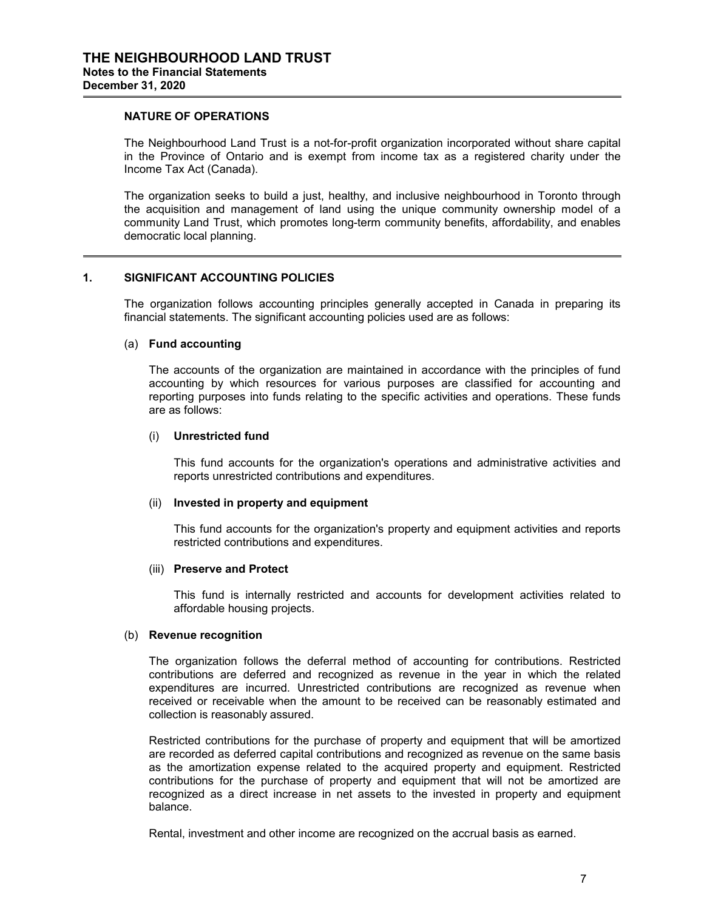#### **NATURE OF OPERATIONS**

The Neighbourhood Land Trust is a not-for-profit organization incorporated without share capital in the Province of Ontario and is exempt from income tax as a registered charity under the Income Tax Act (Canada).

The organization seeks to build a just, healthy, and inclusive neighbourhood in Toronto through the acquisition and management of land using the unique community ownership model of a community Land Trust, which promotes long-term community benefits, affordability, and enables democratic local planning.

#### **1. SIGNIFICANT ACCOUNTING POLICIES**

The organization follows accounting principles generally accepted in Canada in preparing its financial statements. The significant accounting policies used are as follows:

### (a) **Fund accounting**

The accounts of the organization are maintained in accordance with the principles of fund accounting by which resources for various purposes are classified for accounting and reporting purposes into funds relating to the specific activities and operations. These funds are as follows:

#### (i) **Unrestricted fund**

This fund accounts for the organization's operations and administrative activities and reports unrestricted contributions and expenditures.

#### (ii) **Invested in property and equipment**

This fund accounts for the organization's property and equipment activities and reports restricted contributions and expenditures.

#### (iii) **Preserve and Protect**

This fund is internally restricted and accounts for development activities related to affordable housing projects.

#### (b) **Revenue recognition**

The organization follows the deferral method of accounting for contributions. Restricted contributions are deferred and recognized as revenue in the year in which the related expenditures are incurred. Unrestricted contributions are recognized as revenue when received or receivable when the amount to be received can be reasonably estimated and collection is reasonably assured.

Restricted contributions for the purchase of property and equipment that will be amortized are recorded as deferred capital contributions and recognized as revenue on the same basis as the amortization expense related to the acquired property and equipment. Restricted contributions for the purchase of property and equipment that will not be amortized are recognized as a direct increase in net assets to the invested in property and equipment balance.

Rental, investment and other income are recognized on the accrual basis as earned.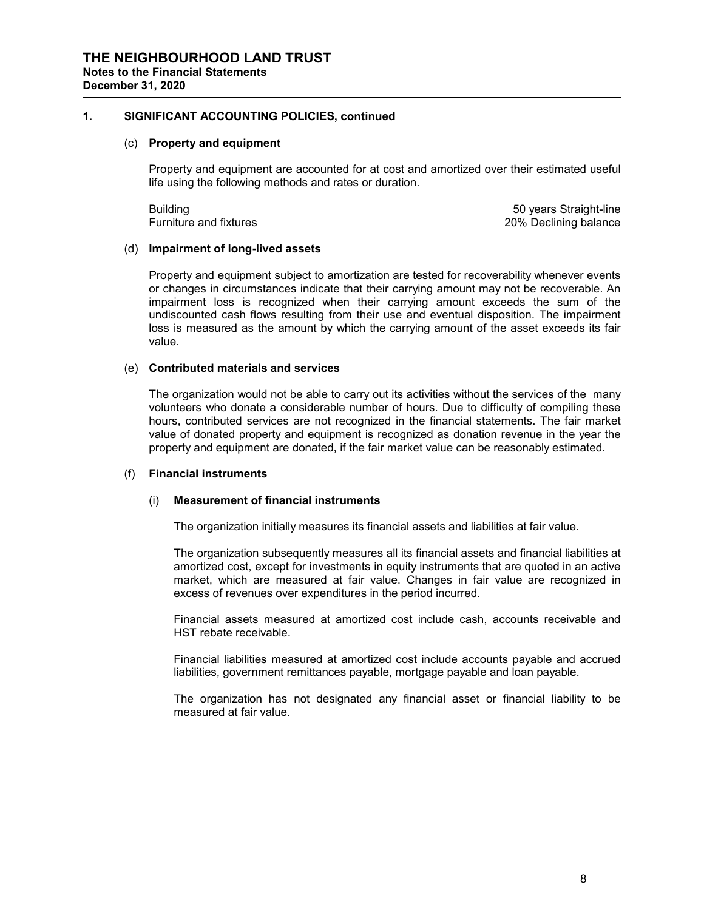#### **1. SIGNIFICANT ACCOUNTING POLICIES, continued**

#### (c) **Property and equipment**

Property and equipment are accounted for at cost and amortized over their estimated useful life using the following methods and rates or duration.

Building 50 years Straight-line Furniture and fixtures 20% Declining balance

#### (d) **Impairment of long-lived assets**

Property and equipment subject to amortization are tested for recoverability whenever events or changes in circumstances indicate that their carrying amount may not be recoverable. An impairment loss is recognized when their carrying amount exceeds the sum of the undiscounted cash flows resulting from their use and eventual disposition. The impairment loss is measured as the amount by which the carrying amount of the asset exceeds its fair value.

#### (e) **Contributed materials and services**

The organization would not be able to carry out its activities without the services of the many volunteers who donate a considerable number of hours. Due to difficulty of compiling these hours, contributed services are not recognized in the financial statements. The fair market value of donated property and equipment is recognized as donation revenue in the year the property and equipment are donated, if the fair market value can be reasonably estimated.

#### (f) **Financial instruments**

#### (i) **Measurement of financial instruments**

The organization initially measures its financial assets and liabilities at fair value.

The organization subsequently measures all its financial assets and financial liabilities at amortized cost, except for investments in equity instruments that are quoted in an active market, which are measured at fair value. Changes in fair value are recognized in excess of revenues over expenditures in the period incurred.

Financial assets measured at amortized cost include cash, accounts receivable and HST rebate receivable.

Financial liabilities measured at amortized cost include accounts payable and accrued liabilities, government remittances payable, mortgage payable and loan payable.

The organization has not designated any financial asset or financial liability to be measured at fair value.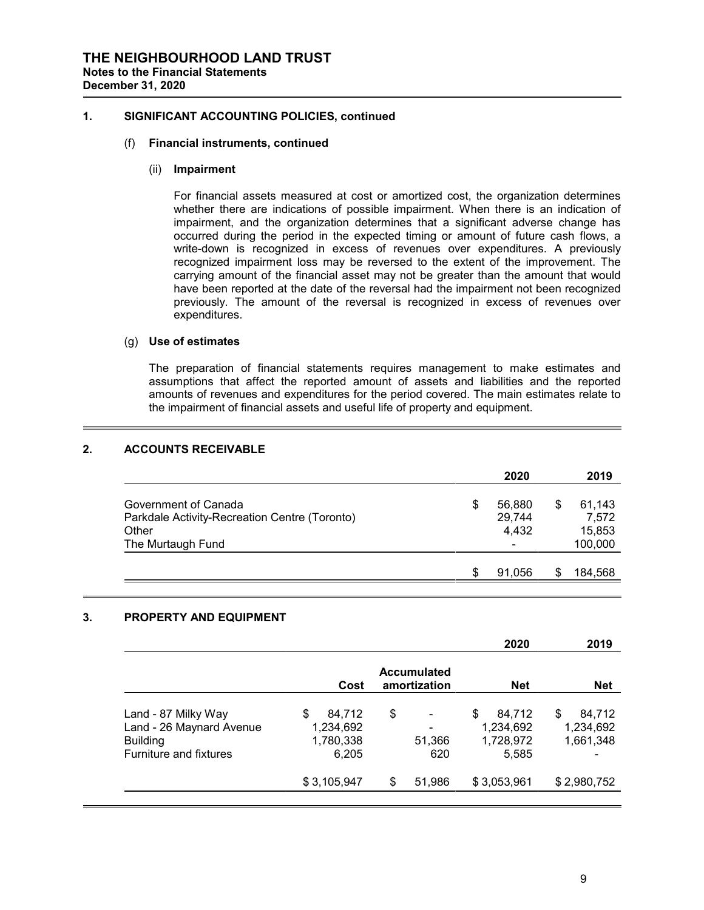#### **1. SIGNIFICANT ACCOUNTING POLICIES, continued**

#### (f) **Financial instruments, continued**

#### (ii) **Impairment**

For financial assets measured at cost or amortized cost, the organization determines whether there are indications of possible impairment. When there is an indication of impairment, and the organization determines that a significant adverse change has occurred during the period in the expected timing or amount of future cash flows, a write-down is recognized in excess of revenues over expenditures. A previously recognized impairment loss may be reversed to the extent of the improvement. The carrying amount of the financial asset may not be greater than the amount that would have been reported at the date of the reversal had the impairment not been recognized previously. The amount of the reversal is recognized in excess of revenues over expenditures.

### (g) **Use of estimates**

The preparation of financial statements requires management to make estimates and assumptions that affect the reported amount of assets and liabilities and the reported amounts of revenues and expenditures for the period covered. The main estimates relate to the impairment of financial assets and useful life of property and equipment.

## **2. ACCOUNTS RECEIVABLE**

|                                               | 2020         |   | 2019    |
|-----------------------------------------------|--------------|---|---------|
| Government of Canada                          | 56.880       | S | 61,143  |
| Parkdale Activity-Recreation Centre (Toronto) | 29,744       |   | 7,572   |
| Other                                         | 4,432        |   | 15,853  |
| The Murtaugh Fund                             |              |   | 100,000 |
|                                               |              |   |         |
|                                               | \$<br>91.056 | S | 184.568 |

## **3. PROPERTY AND EQUIPMENT**

|                                                                                              |                                                 |                                    | 2020                                            | 2019                                   |
|----------------------------------------------------------------------------------------------|-------------------------------------------------|------------------------------------|-------------------------------------------------|----------------------------------------|
|                                                                                              | Cost                                            | <b>Accumulated</b><br>amortization | <b>Net</b>                                      | <b>Net</b>                             |
| Land - 87 Milky Way<br>Land - 26 Maynard Avenue<br><b>Building</b><br>Furniture and fixtures | \$<br>84,712<br>1,234,692<br>1,780,338<br>6,205 | \$<br>51,366<br>620                | \$<br>84.712<br>1,234,692<br>1,728,972<br>5,585 | \$<br>84,712<br>1,234,692<br>1,661,348 |
|                                                                                              | \$3,105,947                                     | \$<br>51,986                       | \$3,053,961                                     | \$2,980,752                            |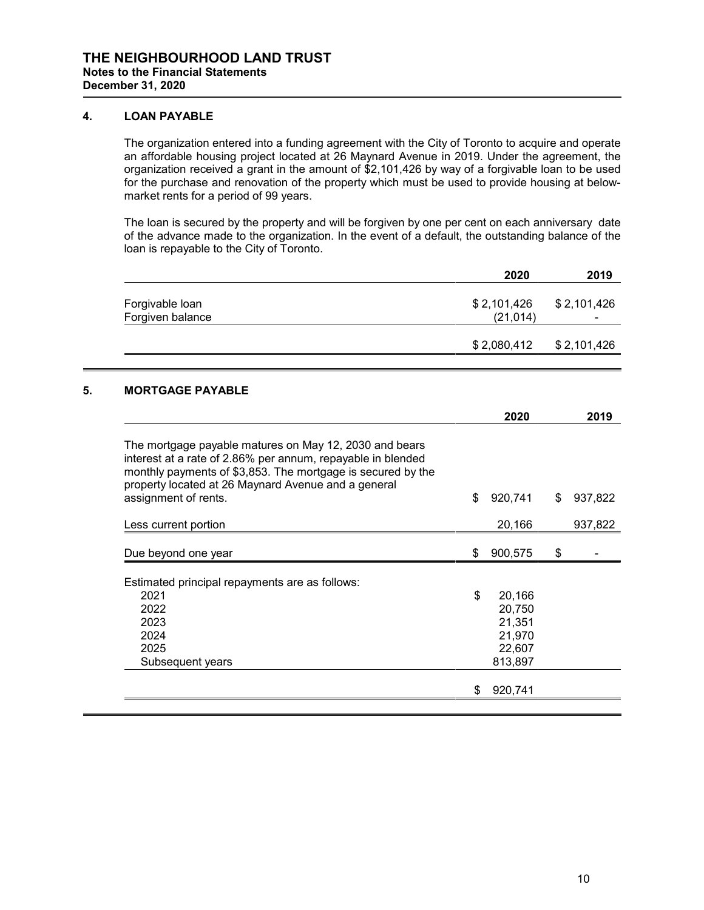## **4. LOAN PAYABLE**

The organization entered into a funding agreement with the City of Toronto to acquire and operate an affordable housing project located at 26 Maynard Avenue in 2019. Under the agreement, the organization received a grant in the amount of \$2,101,426 by way of a forgivable loan to be used for the purchase and renovation of the property which must be used to provide housing at belowmarket rents for a period of 99 years.

The loan is secured by the property and will be forgiven by one per cent on each anniversary date of the advance made to the organization. In the event of a default, the outstanding balance of the loan is repayable to the City of Toronto.

|                  | 2020        | 2019        |
|------------------|-------------|-------------|
| Forgivable loan  | \$2,101,426 | \$2,101,426 |
| Forgiven balance | (21, 014)   | -           |
|                  | \$2,080,412 | \$2,101,426 |

#### **5. MORTGAGE PAYABLE**

|                                                                                                                                                                                                                                                                     |    | 2020    | 2019          |
|---------------------------------------------------------------------------------------------------------------------------------------------------------------------------------------------------------------------------------------------------------------------|----|---------|---------------|
| The mortgage payable matures on May 12, 2030 and bears<br>interest at a rate of 2.86% per annum, repayable in blended<br>monthly payments of \$3,853. The mortgage is secured by the<br>property located at 26 Maynard Avenue and a general<br>assignment of rents. | \$ | 920,741 | \$<br>937,822 |
| Less current portion                                                                                                                                                                                                                                                |    | 20,166  | 937,822       |
| Due beyond one year                                                                                                                                                                                                                                                 | S  | 900,575 | \$            |
| Estimated principal repayments are as follows:                                                                                                                                                                                                                      |    |         |               |
| 2021                                                                                                                                                                                                                                                                | \$ | 20,166  |               |
| 2022                                                                                                                                                                                                                                                                |    | 20,750  |               |
| 2023                                                                                                                                                                                                                                                                |    | 21,351  |               |
| 2024                                                                                                                                                                                                                                                                |    | 21,970  |               |
| 2025                                                                                                                                                                                                                                                                |    | 22,607  |               |
| Subsequent years                                                                                                                                                                                                                                                    |    | 813,897 |               |
|                                                                                                                                                                                                                                                                     | S  | 920,741 |               |
|                                                                                                                                                                                                                                                                     |    |         |               |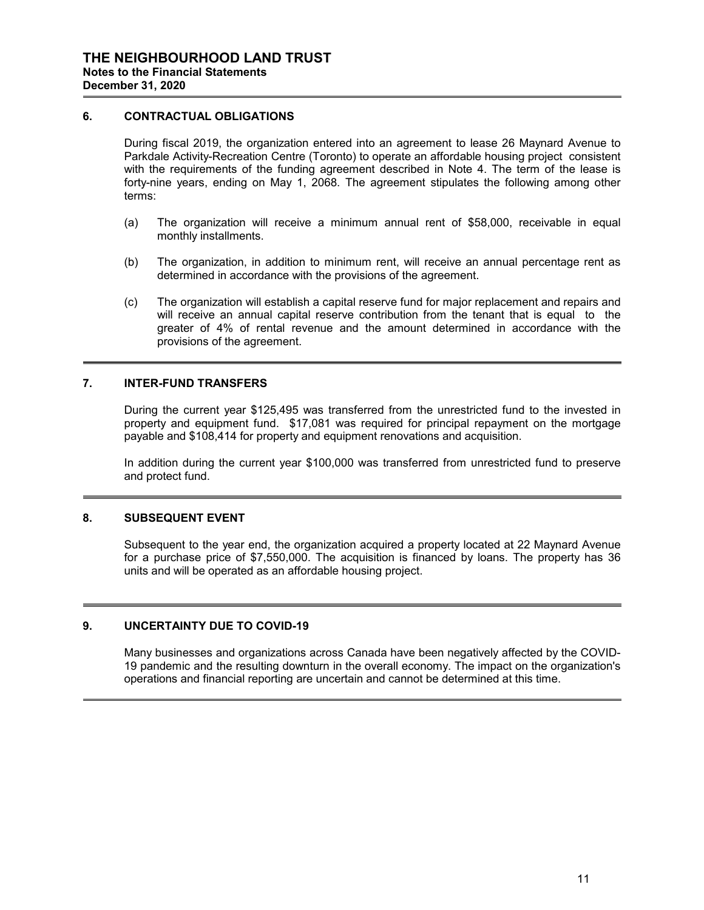#### **6. CONTRACTUAL OBLIGATIONS**

During fiscal 2019, the organization entered into an agreement to lease 26 Maynard Avenue to Parkdale Activity-Recreation Centre (Toronto) to operate an affordable housing project consistent with the requirements of the funding agreement described in Note 4. The term of the lease is forty-nine years, ending on May 1, 2068. The agreement stipulates the following among other terms:

- (a) The organization will receive a minimum annual rent of \$58,000, receivable in equal monthly installments.
- (b) The organization, in addition to minimum rent, will receive an annual percentage rent as determined in accordance with the provisions of the agreement.
- (c) The organization will establish a capital reserve fund for major replacement and repairs and will receive an annual capital reserve contribution from the tenant that is equal to the greater of 4% of rental revenue and the amount determined in accordance with the provisions of the agreement.

#### **7. INTER-FUND TRANSFERS**

During the current year \$125,495 was transferred from the unrestricted fund to the invested in property and equipment fund. \$17,081 was required for principal repayment on the mortgage payable and \$108,414 for property and equipment renovations and acquisition.

In addition during the current year \$100,000 was transferred from unrestricted fund to preserve and protect fund.

### **8. SUBSEQUENT EVENT**

Subsequent to the year end, the organization acquired a property located at 22 Maynard Avenue for a purchase price of \$7,550,000. The acquisition is financed by loans. The property has 36 units and will be operated as an affordable housing project.

### **9. UNCERTAINTY DUE TO COVID-19**

Many businesses and organizations across Canada have been negatively affected by the COVID-19 pandemic and the resulting downturn in the overall economy. The impact on the organization's operations and financial reporting are uncertain and cannot be determined at this time.